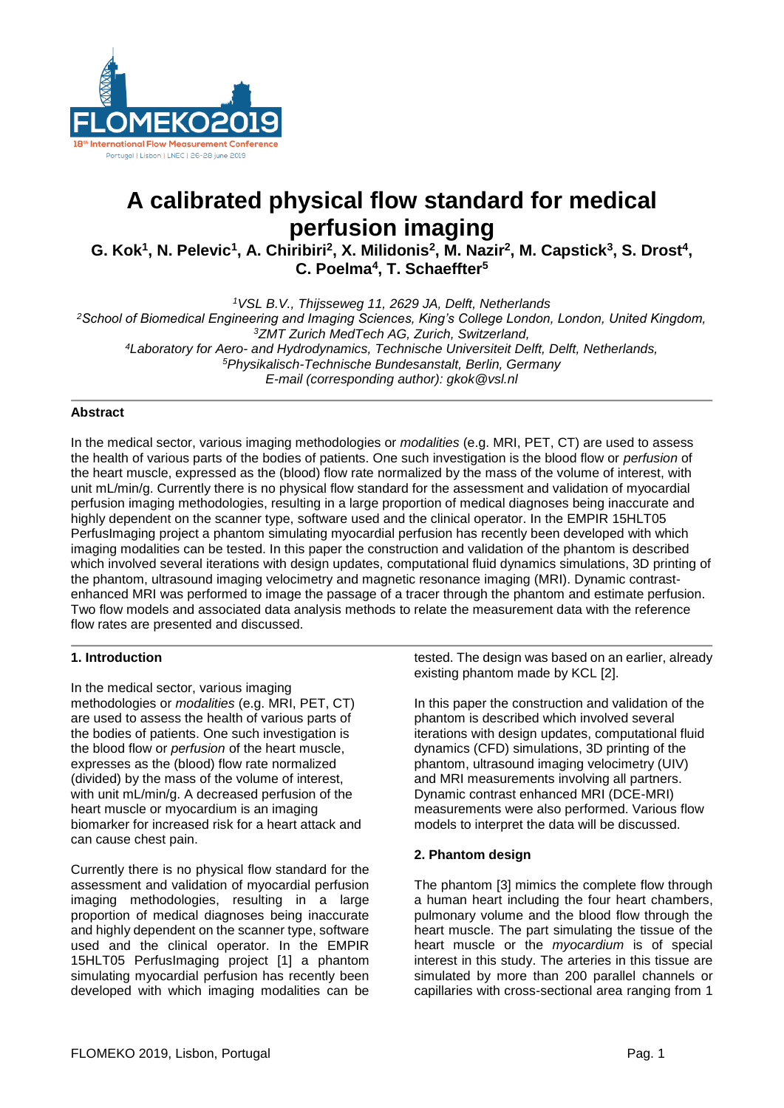

# **A calibrated physical flow standard for medical perfusion imaging**

G. Kok<sup>1</sup>, N. Pelevic<sup>1</sup>, A. Chiribiri<sup>2</sup>, X. Milidonis<sup>2</sup>, M. Nazir<sup>2</sup>, M. Capstick<sup>3</sup>, S. Drost<sup>4</sup>, **C. Poelma<sup>4</sup> , T. Schaeffter<sup>5</sup>**

*VSL B.V., Thijsseweg 11, 2629 JA, Delft, Netherlands School of Biomedical Engineering and Imaging Sciences, King's College London, London, United Kingdom, ZMT Zurich MedTech AG, Zurich, Switzerland, Laboratory for Aero- and Hydrodynamics, Technische Universiteit Delft, Delft, Netherlands, Physikalisch-Technische Bundesanstalt, Berlin, Germany E-mail (corresponding author): gkok@vsl.nl*

# **Abstract**

In the medical sector, various imaging methodologies or *modalities* (e.g. MRI, PET, CT) are used to assess the health of various parts of the bodies of patients. One such investigation is the blood flow or *perfusion* of the heart muscle, expressed as the (blood) flow rate normalized by the mass of the volume of interest, with unit mL/min/g. Currently there is no physical flow standard for the assessment and validation of myocardial perfusion imaging methodologies, resulting in a large proportion of medical diagnoses being inaccurate and highly dependent on the scanner type, software used and the clinical operator. In the EMPIR 15HLT05 PerfusImaging project a phantom simulating myocardial perfusion has recently been developed with which imaging modalities can be tested. In this paper the construction and validation of the phantom is described which involved several iterations with design updates, computational fluid dynamics simulations, 3D printing of the phantom, ultrasound imaging velocimetry and magnetic resonance imaging (MRI). Dynamic contrastenhanced MRI was performed to image the passage of a tracer through the phantom and estimate perfusion. Two flow models and associated data analysis methods to relate the measurement data with the reference flow rates are presented and discussed.

# **1. Introduction**

In the medical sector, various imaging methodologies or *modalities* (e.g. MRI, PET, CT) are used to assess the health of various parts of the bodies of patients. One such investigation is the blood flow or *perfusion* of the heart muscle, expresses as the (blood) flow rate normalized (divided) by the mass of the volume of interest, with unit mL/min/g. A decreased perfusion of the heart muscle or myocardium is an imaging biomarker for increased risk for a heart attack and can cause chest pain.

Currently there is no physical flow standard for the assessment and validation of myocardial perfusion imaging methodologies, resulting in a large proportion of medical diagnoses being inaccurate and highly dependent on the scanner type, software used and the clinical operator. In the EMPIR 15HLT05 PerfusImaging project [1] a phantom simulating myocardial perfusion has recently been developed with which imaging modalities can be tested. The design was based on an earlier, already existing phantom made by KCL [2].

In this paper the construction and validation of the phantom is described which involved several iterations with design updates, computational fluid dynamics (CFD) simulations, 3D printing of the phantom, ultrasound imaging velocimetry (UIV) and MRI measurements involving all partners. Dynamic contrast enhanced MRI (DCE-MRI) measurements were also performed. Various flow models to interpret the data will be discussed.

# **2. Phantom design**

The phantom [3] mimics the complete flow through a human heart including the four heart chambers, pulmonary volume and the blood flow through the heart muscle. The part simulating the tissue of the heart muscle or the *myocardium* is of special interest in this study. The arteries in this tissue are simulated by more than 200 parallel channels or capillaries with cross-sectional area ranging from 1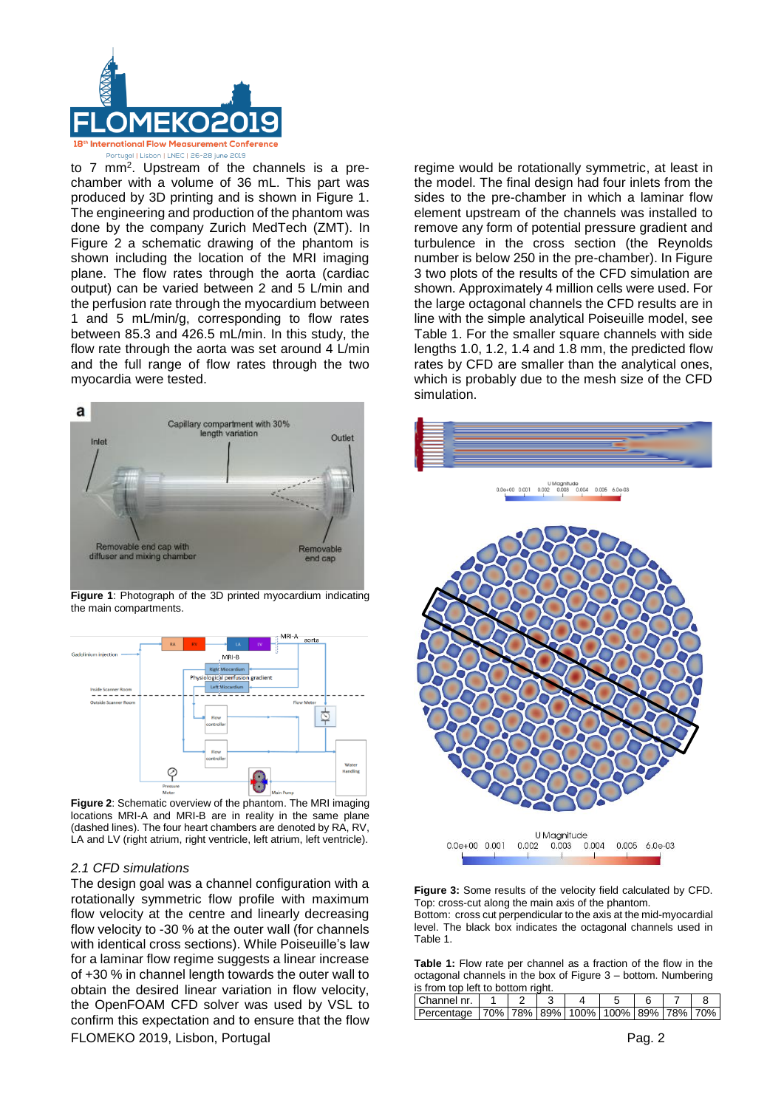

to 7 mm<sup>2</sup> . Upstream of the channels is a prechamber with a volume of 36 mL. This part was produced by 3D printing and is shown in Figure 1. The engineering and production of the phantom was done by the company Zurich MedTech (ZMT). In Figure 2 a schematic drawing of the phantom is shown including the location of the MRI imaging plane. The flow rates through the aorta (cardiac output) can be varied between 2 and 5 L/min and the perfusion rate through the myocardium between 1 and 5 mL/min/g, corresponding to flow rates between 85.3 and 426.5 mL/min. In this study, the flow rate through the aorta was set around 4 L/min and the full range of flow rates through the two myocardia were tested.



**Figure 1**: Photograph of the 3D printed myocardium indicating the main compartments.



**Figure 2**: Schematic overview of the phantom. The MRI imaging locations MRI-A and MRI-B are in reality in the same plane (dashed lines). The four heart chambers are denoted by RA, RV, LA and LV (right atrium, right ventricle, left atrium, left ventricle).

# *2.1 CFD simulations*

FLOMEKO 2019, Lisbon, Portugal Pag. 2 The design goal was a channel configuration with a rotationally symmetric flow profile with maximum flow velocity at the centre and linearly decreasing flow velocity to -30 % at the outer wall (for channels with identical cross sections). While Poiseuille's law for a laminar flow regime suggests a linear increase of +30 % in channel length towards the outer wall to obtain the desired linear variation in flow velocity, the OpenFOAM CFD solver was used by VSL to confirm this expectation and to ensure that the flow

regime would be rotationally symmetric, at least in the model. The final design had four inlets from the sides to the pre-chamber in which a laminar flow element upstream of the channels was installed to remove any form of potential pressure gradient and turbulence in the cross section (the Reynolds number is below 250 in the pre-chamber). In Figure 3 two plots of the results of the CFD simulation are shown. Approximately 4 million cells were used. For the large octagonal channels the CFD results are in line with the simple analytical Poiseuille model, see Table 1. For the smaller square channels with side lengths 1.0, 1.2, 1.4 and 1.8 mm, the predicted flow rates by CFD are smaller than the analytical ones, which is probably due to the mesh size of the CFD simulation.



**Figure 3:** Some results of the velocity field calculated by CFD. Top: cross-cut along the main axis of the phantom. Bottom: cross cut perpendicular to the axis at the mid-myocardial level. The black box indicates the octagonal channels used in Table 1.

**Table 1:** Flow rate per channel as a fraction of the flow in the octagonal channels in the box of Figure 3 – bottom. Numbering is from top left to bottom right.

| <u>is from the felt to bottom hand.</u>                      |  |  |  |  |  |  |  |  |
|--------------------------------------------------------------|--|--|--|--|--|--|--|--|
| Channel nr.                                                  |  |  |  |  |  |  |  |  |
| Percentage   70%   78%   89%   100%   100%   89%   78%   70% |  |  |  |  |  |  |  |  |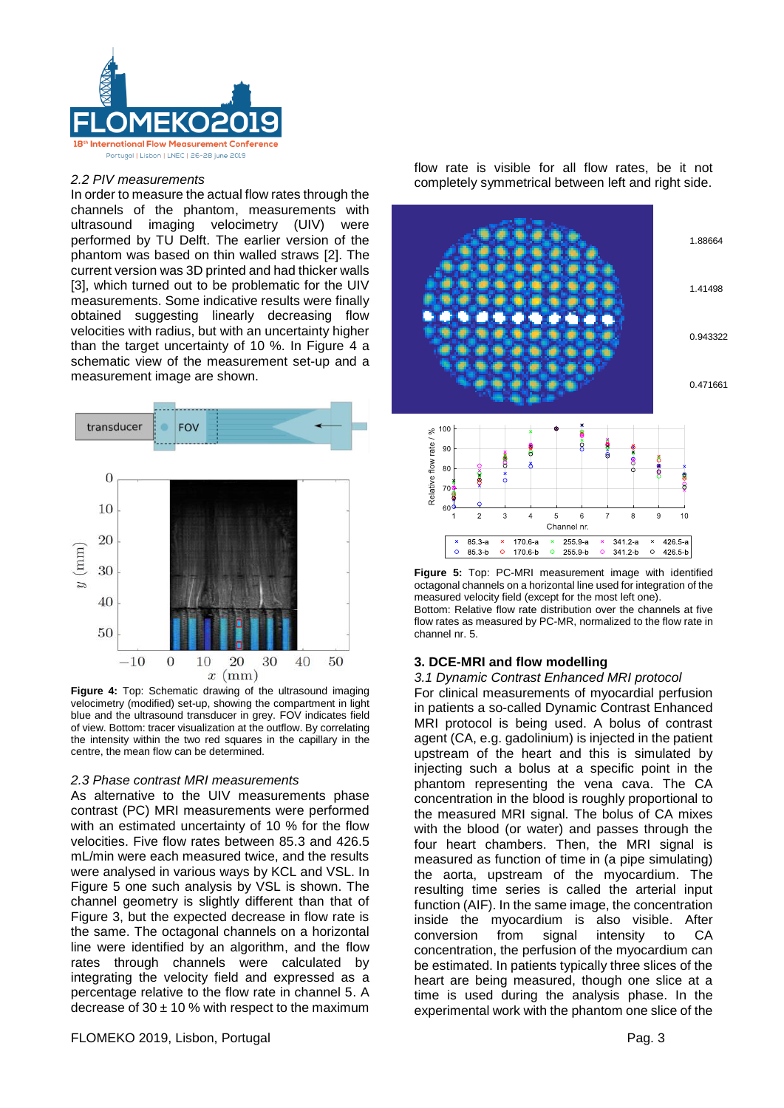

### *2.2 PIV measurements*

In order to measure the actual flow rates through the channels of the phantom, measurements with ultrasound imaging velocimetry (UIV) were performed by TU Delft. The earlier version of the phantom was based on thin walled straws [2]. The current version was 3D printed and had thicker walls [3], which turned out to be problematic for the UIV measurements. Some indicative results were finally obtained suggesting linearly decreasing flow velocities with radius, but with an uncertainty higher than the target uncertainty of 10 %. In Figure 4 a schematic view of the measurement set-up and a measurement image are shown.



**Figure 4:** Top: Schematic drawing of the ultrasound imaging velocimetry (modified) set-up, showing the compartment in light blue and the ultrasound transducer in grey. FOV indicates field of view. Bottom: tracer visualization at the outflow. By correlating the intensity within the two red squares in the capillary in the centre, the mean flow can be determined.

# *2.3 Phase contrast MRI measurements*

As alternative to the UIV measurements phase contrast (PC) MRI measurements were performed with an estimated uncertainty of 10 % for the flow velocities. Five flow rates between 85.3 and 426.5 mL/min were each measured twice, and the results were analysed in various ways by KCL and VSL. In Figure 5 one such analysis by VSL is shown. The channel geometry is slightly different than that of Figure 3, but the expected decrease in flow rate is the same. The octagonal channels on a horizontal line were identified by an algorithm, and the flow rates through channels were calculated by integrating the velocity field and expressed as a percentage relative to the flow rate in channel 5. A decrease of  $30 \pm 10$  % with respect to the maximum flow rate is visible for all flow rates, be it not completely symmetrical between left and right side.



**Figure 5:** Top: PC-MRI measurement image with identified octagonal channels on a horizontal line used for integration of the measured velocity field (except for the most left one). Bottom: Relative flow rate distribution over the channels at five flow rates as measured by PC-MR, normalized to the flow rate in channel nr. 5.

# **3. DCE-MRI and flow modelling**

#### *3.1 Dynamic Contrast Enhanced MRI protocol*

For clinical measurements of myocardial perfusion in patients a so-called Dynamic Contrast Enhanced MRI protocol is being used. A bolus of contrast agent (CA, e.g. gadolinium) is injected in the patient upstream of the heart and this is simulated by injecting such a bolus at a specific point in the phantom representing the vena cava. The CA concentration in the blood is roughly proportional to the measured MRI signal. The bolus of CA mixes with the blood (or water) and passes through the four heart chambers. Then, the MRI signal is measured as function of time in (a pipe simulating) the aorta, upstream of the myocardium. The resulting time series is called the arterial input function (AIF). In the same image, the concentration inside the myocardium is also visible. After conversion from signal intensity to CA concentration, the perfusion of the myocardium can be estimated. In patients typically three slices of the heart are being measured, though one slice at a time is used during the analysis phase. In the experimental work with the phantom one slice of the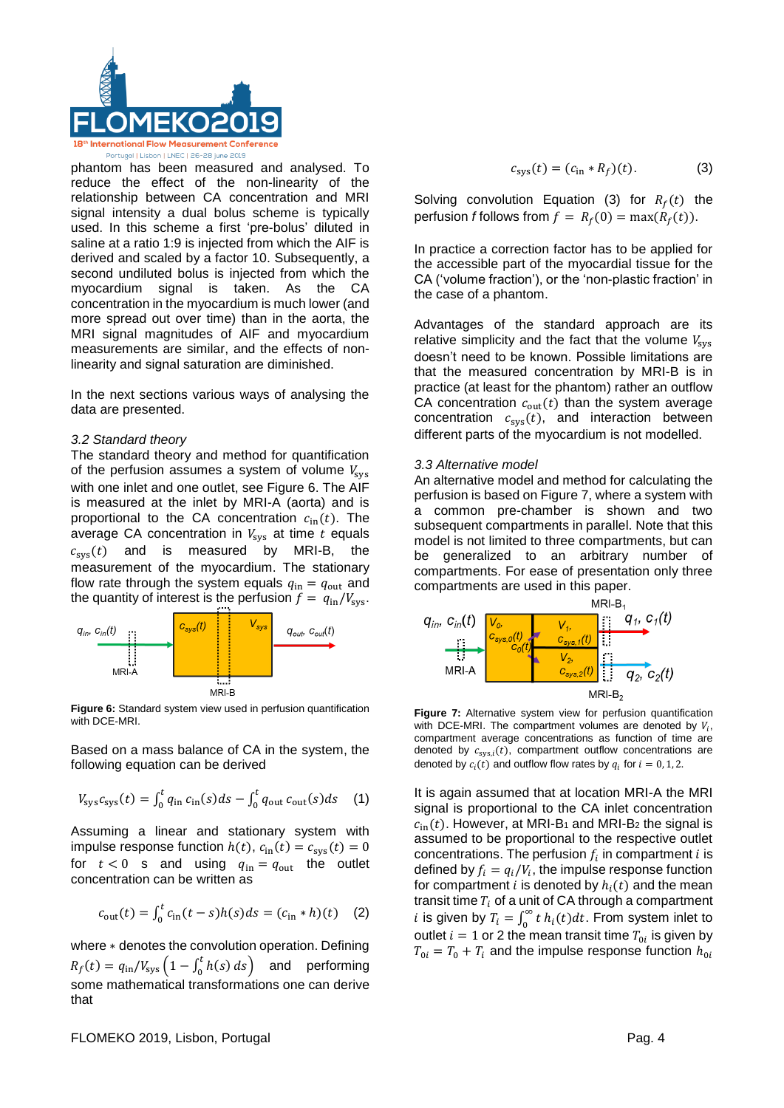

phantom has been measured and analysed. To reduce the effect of the non-linearity of the relationship between CA concentration and MRI signal intensity a dual bolus scheme is typically used. In this scheme a first 'pre-bolus' diluted in saline at a ratio 1:9 is injected from which the AIF is derived and scaled by a factor 10. Subsequently, a second undiluted bolus is injected from which the myocardium signal is taken. As the CA concentration in the myocardium is much lower (and more spread out over time) than in the aorta, the MRI signal magnitudes of AIF and myocardium measurements are similar, and the effects of nonlinearity and signal saturation are diminished.

In the next sections various ways of analysing the data are presented.

# *3.2 Standard theory*

The standard theory and method for quantification of the perfusion assumes a system of volume  $V_{\text{sys}}$ with one inlet and one outlet, see Figure 6. The AIF is measured at the inlet by MRI-A (aorta) and is proportional to the CA concentration  $c_{\text{in}}(t)$ . The average CA concentration in  $V_{sys}$  at time  $t$  equals  $c_{sys}(t)$  and is measured by MRI-B, the measurement of the myocardium. The stationary flow rate through the system equals  $q_{\text{in}} = q_{\text{out}}$  and the quantity of interest is the perfusion  $f = q_{\text{in}}/V_{\text{sys}}$ .



**Figure 6:** Standard system view used in perfusion quantification with DCE-MRI.

Based on a mass balance of CA in the system, the following equation can be derived

$$
V_{\rm sys}c_{\rm sys}(t) = \int_0^t q_{\rm in} c_{\rm in}(s)ds - \int_0^t q_{\rm out} c_{\rm out}(s)ds \quad (1)
$$

Assuming a linear and stationary system with impulse response function  $h(t)$ ,  $c_{\text{in}}(t) = c_{\text{sys}}(t) = 0$ for  $t < 0$  s and using  $q_{\text{in}} = q_{\text{out}}$  the outlet concentration can be written as

$$
c_{\text{out}}(t) = \int_0^t c_{\text{in}}(t-s)h(s)ds = (c_{\text{in}} * h)(t) \quad (2)
$$

where ∗ denotes the convolution operation. Defining  $R_f(t) = q_{\rm in}/V_{\rm sys} (1 - \int_0^t h(s))$  $\binom{1}{0}$  *h*(*s*) *ds*) and performing some mathematical transformations one can derive that

$$
c_{\rm sys}(t) = (c_{\rm in} * R_f)(t). \tag{3}
$$

Solving convolution Equation (3) for  $R_f(t)$  the perfusion *f* follows from  $f = R_f(0) = \max(R_f(t))$ .

In practice a correction factor has to be applied for the accessible part of the myocardial tissue for the CA ('volume fraction'), or the 'non-plastic fraction' in the case of a phantom.

Advantages of the standard approach are its relative simplicity and the fact that the volume  $V_{\text{sys}}$ doesn't need to be known. Possible limitations are that the measured concentration by MRI-B is in practice (at least for the phantom) rather an outflow CA concentration  $c_{out}(t)$  than the system average concentration  $c_{sys}(t)$ , and interaction between different parts of the myocardium is not modelled.

# *3.3 Alternative model*

An alternative model and method for calculating the perfusion is based on Figure 7, where a system with a common pre-chamber is shown and two subsequent compartments in parallel. Note that this model is not limited to three compartments, but can be generalized to an arbitrary number of compartments. For ease of presentation only three compartments are used in this paper.



**Figure 7:** Alternative system view for perfusion quantification with DCE-MRI. The compartment volumes are denoted by  $V_i$ , compartment average concentrations as function of time are denoted by  $c_{sys,i}(t)$ , compartment outflow concentrations are denoted by  $c_i(t)$  and outflow flow rates by  $q_i$  for  $i = 0, 1, 2$ .

It is again assumed that at location MRI-A the MRI signal is proportional to the CA inlet concentration  $c_{in}(t)$ . However, at MRI-B<sub>1</sub> and MRI-B<sub>2</sub> the signal is assumed to be proportional to the respective outlet concentrations. The perfusion  $f_i$  in compartment  $i$  is defined by  $f_i = q_i/V_i$ , the impulse response function for compartment *i* is denoted by  $h_i(t)$  and the mean transit time  $T_i$  of a unit of CA through a compartment *i* is given by  $T_i = \int_0^\infty t \, h_i(t) dt$ . From system inlet to outlet  $i = 1$  or 2 the mean transit time  $T_{0i}$  is given by  $T_{0i} = T_0 + T_i$  and the impulse response function  $h_{0i}$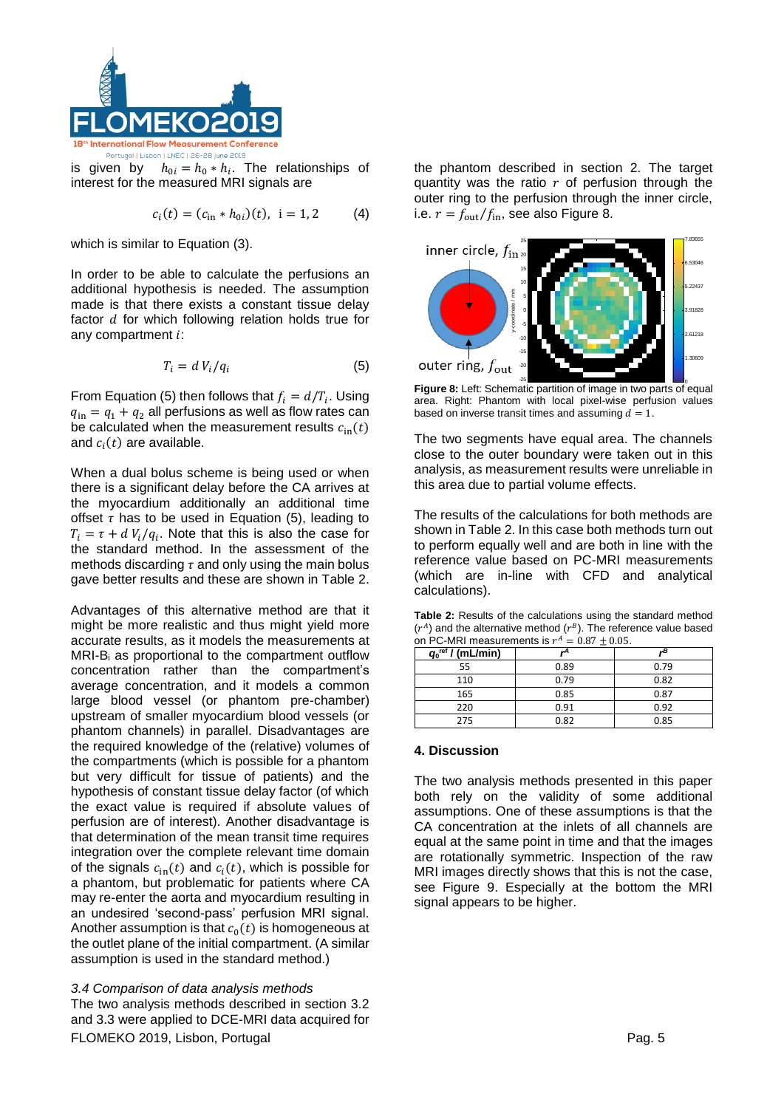

is given by  $h_{0i} = h_0 * h_i$ . The relationships of interest for the measured MRI signals are

$$
c_i(t) = (c_{\text{in}} * h_{0i})(t), \ \ i = 1, 2 \tag{4}
$$

which is similar to Equation (3).

In order to be able to calculate the perfusions an additional hypothesis is needed. The assumption made is that there exists a constant tissue delay factor  $d$  for which following relation holds true for any compartment  $i$ :

$$
T_i = d V_i / q_i \tag{5}
$$

From Equation (5) then follows that  $f_i = d/T_i$ . Using  $q_{\rm in} = q_1 + q_2$  all perfusions as well as flow rates can be calculated when the measurement results  $c_{\text{in}}(t)$ and  $c_i(t)$  are available.

When a dual bolus scheme is being used or when there is a significant delay before the CA arrives at the myocardium additionally an additional time offset  $\tau$  has to be used in Equation (5), leading to  $T_i = \tau + d V_i / q_i$ . Note that this is also the case for the standard method. In the assessment of the methods discarding  $\tau$  and only using the main bolus gave better results and these are shown in Table 2.

Advantages of this alternative method are that it might be more realistic and thus might yield more accurate results, as it models the measurements at MRI-Bi as proportional to the compartment outflow concentration rather than the compartment's average concentration, and it models a common large blood vessel (or phantom pre-chamber) upstream of smaller myocardium blood vessels (or phantom channels) in parallel. Disadvantages are the required knowledge of the (relative) volumes of the compartments (which is possible for a phantom but very difficult for tissue of patients) and the hypothesis of constant tissue delay factor (of which the exact value is required if absolute values of perfusion are of interest). Another disadvantage is that determination of the mean transit time requires integration over the complete relevant time domain of the signals  $c_{\text{in}}(t)$  and  $c_i(t)$ , which is possible for a phantom, but problematic for patients where CA may re-enter the aorta and myocardium resulting in an undesired 'second-pass' perfusion MRI signal. Another assumption is that  $c_0(t)$  is homogeneous at the outlet plane of the initial compartment. (A similar assumption is used in the standard method.)

FLOMEKO 2019, Lisbon, Portugal **Pag. 5** Pag. 5 *3.4 Comparison of data analysis methods*  The two analysis methods described in section 3.2 and 3.3 were applied to DCE-MRI data acquired for

the phantom described in section 2. The target quantity was the ratio  $r$  of perfusion through the outer ring to the perfusion through the inner circle, i.e.  $r = f_{\text{out}}/f_{\text{in}}$ , see also Figure 8.



**Figure 8:** Left: Schematic partition of image in two parts of equal area. Right: Phantom with local pixel-wise perfusion values based on inverse transit times and assuming  $d = 1$ .

The two segments have equal area. The channels close to the outer boundary were taken out in this analysis, as measurement results were unreliable in this area due to partial volume effects.

The results of the calculations for both methods are shown in Table 2. In this case both methods turn out to perform equally well and are both in line with the reference value based on PC-MRI measurements (which are in-line with CFD and analytical calculations).

**Table 2:** Results of the calculations using the standard method  $(r<sup>A</sup>)$  and the alternative method  $(r<sup>B</sup>)$ . The reference value based on PC-MRI measurements is  $r^A = 0.87 \pm 0.05$ .

| $q_0^{\text{ref}}$ / (mL/min) |      |      |
|-------------------------------|------|------|
| 55                            | 0.89 | 0.79 |
| 110                           | 0.79 | 0.82 |
| 165                           | 0.85 | 0.87 |
| 220                           | 0.91 | 0.92 |
| 275                           | 0.82 | 0.85 |

#### **4. Discussion**

The two analysis methods presented in this paper both rely on the validity of some additional assumptions. One of these assumptions is that the CA concentration at the inlets of all channels are equal at the same point in time and that the images are rotationally symmetric. Inspection of the raw MRI images directly shows that this is not the case, see Figure 9. Especially at the bottom the MRI signal appears to be higher.